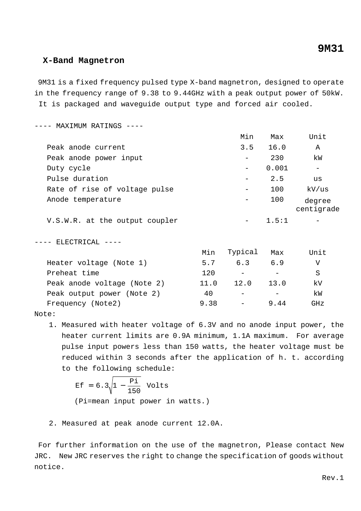## **X-Band Magnetron**

 9M31 is a fixed frequency pulsed type X-band magnetron, designed to operate in the frequency range of 9.38 to 9.44GHz with a peak output power of 50kW. It is packaged and waveguide output type and forced air cooled.

---- MAXIMUM RATINGS ----

|                                | Min                      | Max   | Unit                 |
|--------------------------------|--------------------------|-------|----------------------|
| Peak anode current             | 3.5                      | 16.0  | Α                    |
| Peak anode power input         |                          | 230   | kW                   |
| Duty cycle                     |                          | 0.001 |                      |
| Pulse duration                 | $\overline{\phantom{m}}$ | 2.5   | us                   |
| Rate of rise of voltage pulse  |                          | 100   | kV/us                |
| Anode temperature              |                          | 100   | degree<br>centigrade |
| V.S.W.R. at the output coupler |                          | 1.5:1 |                      |

---- ELECTRICAL ----

|                             | Min  | Typical | Max  | Unit |
|-----------------------------|------|---------|------|------|
| Heater voltage (Note 1)     | 5.7  | 6.3     | 6.9  | V    |
| Preheat time                | 120  |         |      | S    |
| Peak anode voltage (Note 2) | 11.0 | 12.0    | 13.0 | kV   |
| Peak output power (Note 2)  | 40   |         |      | kW   |
| Frequency (Note2)           | 9.38 |         | 9.44 | GH z |
|                             |      |         |      |      |

Note:

1. Measured with heater voltage of 6.3V and no anode input power, the heater current limits are 0.9A minimum, 1.1A maximum. For average pulse input powers less than 150 watts, the heater voltage must be reduced within 3 seconds after the application of h. t. according to the following schedule:

$$
\begin{aligned} \n\text{Ef} &= 6.3 \sqrt{1 - \frac{\text{Pi}}{150}} \quad \text{Volts} \\ \n(\text{Pi} &= \text{mean input power in watts.}) \n\end{aligned}
$$

2. Measured at peak anode current 12.0A.

 For further information on the use of the magnetron, Please contact New JRC. New JRC reserves the right to change the specification of goods without notice.